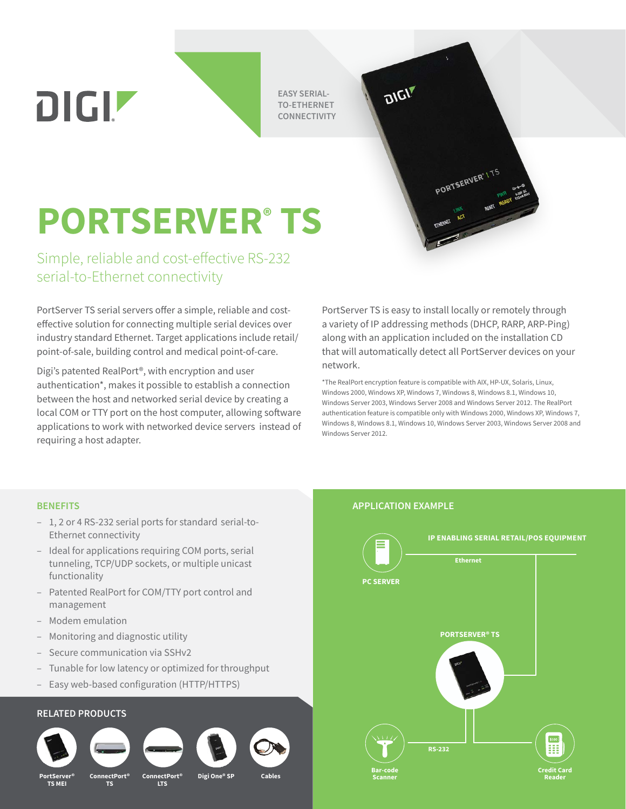**EASY SERIAL-TO-ETHERNET CONNECTIVITY**

# **PORTSERVER® TS**

Simple, reliable and cost-effective RS-232 serial-to-Ethernet connectivity

PortServer TS serial servers offer a simple, reliable and costeffective solution for connecting multiple serial devices over industry standard Ethernet. Target applications include retail/ point-of-sale, building control and medical point-of-care.

Digi's patented RealPort®, with encryption and user authentication\*, makes it possible to establish a connection between the host and networked serial device by creating a local COM or TTY port on the host computer, allowing software applications to work with networked device servers instead of requiring a host adapter.

PortServer TS is easy to install locally or remotely through a variety of IP addressing methods (DHCP, RARP, ARP-Ping) along with an application included on the installation CD that will automatically detect all PortServer devices on your network.

PORTSERVER<sup>el TS</sup>

\*The RealPort encryption feature is compatible with AIX, HP-UX, Solaris, Linux, Windows 2000, Windows XP, Windows 7, Windows 8, Windows 8.1, Windows 10, Windows Server 2003, Windows Server 2008 and Windows Server 2012. The RealPort authentication feature is compatible only with Windows 2000, Windows XP, Windows 7, Windows 8, Windows 8.1, Windows 10, Windows Server 2003, Windows Server 2008 and Windows Server 2012.

- 1, 2 or 4 RS-232 serial ports for standard serial-to-Ethernet connectivity
- Ideal for applications requiring COM ports, serial tunneling, TCP/UDP sockets, or multiple unicast functionality
- Patented RealPort for COM/TTY port control and management
- Modem emulation

DIGIZ

- Monitoring and diagnostic utility
- Secure communication via SSHv2
- Tunable for low latency or optimized for throughput
- Easy web-based configuration (HTTP/HTTPS)

## **RELATED PRODUCTS**



**PortServer® TS MEI**



®ConnectPort<br>TS







### **BENEFITS APPLICATION EXAMPLE**

DIGIT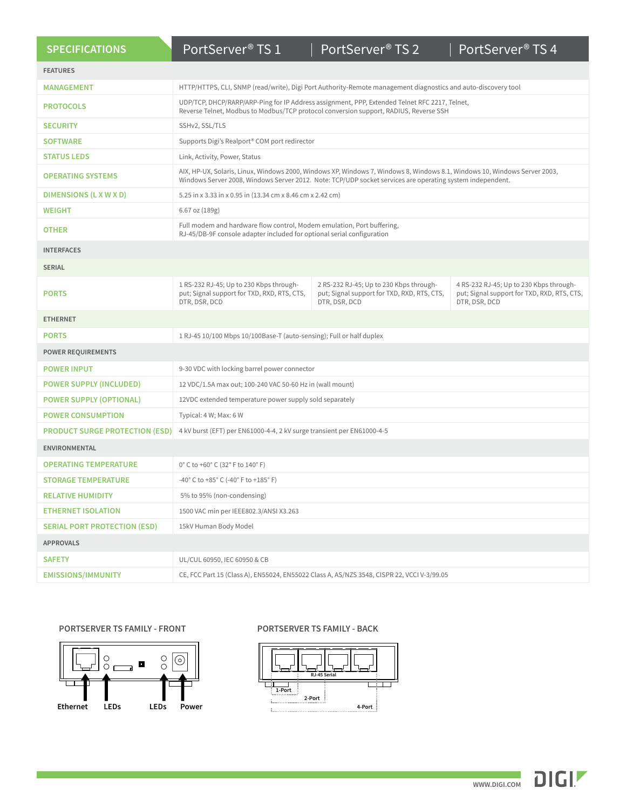| <b>SPECIFICATIONS</b>                 | PortServer <sup>®</sup> TS 1                                                                                                                                                                                                           | PortServer <sup>®</sup> TS 2                                                                            | PortServer <sup>®</sup> TS 4                                                                            |
|---------------------------------------|----------------------------------------------------------------------------------------------------------------------------------------------------------------------------------------------------------------------------------------|---------------------------------------------------------------------------------------------------------|---------------------------------------------------------------------------------------------------------|
| <b>FEATURES</b>                       |                                                                                                                                                                                                                                        |                                                                                                         |                                                                                                         |
| <b>MANAGEMENT</b>                     | HTTP/HTTPS, CLI, SNMP (read/write), Digi Port Authority-Remote management diagnostics and auto-discovery tool                                                                                                                          |                                                                                                         |                                                                                                         |
| <b>PROTOCOLS</b>                      | UDP/TCP, DHCP/RARP/ARP-Ping for IP Address assignment, PPP, Extended Telnet RFC 2217, Telnet,<br>Reverse Telnet, Modbus to Modbus/TCP protocol conversion support, RADIUS, Reverse SSH                                                 |                                                                                                         |                                                                                                         |
| <b>SECURITY</b>                       | SSHv2, SSL/TLS                                                                                                                                                                                                                         |                                                                                                         |                                                                                                         |
| <b>SOFTWARE</b>                       | Supports Digi's Realport® COM port redirector                                                                                                                                                                                          |                                                                                                         |                                                                                                         |
| <b>STATUS LEDS</b>                    | Link, Activity, Power, Status                                                                                                                                                                                                          |                                                                                                         |                                                                                                         |
| <b>OPERATING SYSTEMS</b>              | AIX, HP-UX, Solaris, Linux, Windows 2000, Windows XP, Windows 7, Windows 8, Windows 8.1, Windows 10, Windows Server 2003,<br>Windows Server 2008, Windows Server 2012. Note: TCP/UDP socket services are operating system independent. |                                                                                                         |                                                                                                         |
| DIMENSIONS (L X W X D)                | 5.25 in x 3.33 in x 0.95 in (13.34 cm x 8.46 cm x 2.42 cm)                                                                                                                                                                             |                                                                                                         |                                                                                                         |
| <b>WEIGHT</b>                         | 6.67 oz (189g)                                                                                                                                                                                                                         |                                                                                                         |                                                                                                         |
| <b>OTHER</b>                          | Full modem and hardware flow control, Modem emulation, Port buffering,<br>RJ-45/DB-9F console adapter included for optional serial configuration                                                                                       |                                                                                                         |                                                                                                         |
| <b>INTERFACES</b>                     |                                                                                                                                                                                                                                        |                                                                                                         |                                                                                                         |
| <b>SERIAL</b>                         |                                                                                                                                                                                                                                        |                                                                                                         |                                                                                                         |
| <b>PORTS</b>                          | 1 RS-232 RJ-45; Up to 230 Kbps through-<br>put; Signal support for TXD, RXD, RTS, CTS,<br>DTR, DSR, DCD                                                                                                                                | 2 RS-232 RJ-45; Up to 230 Kbps through-<br>put; Signal support for TXD, RXD, RTS, CTS,<br>DTR, DSR, DCD | 4 RS-232 RJ-45; Up to 230 Kbps through-<br>put; Signal support for TXD, RXD, RTS, CTS,<br>DTR, DSR, DCD |
| <b>ETHERNET</b>                       |                                                                                                                                                                                                                                        |                                                                                                         |                                                                                                         |
| <b>PORTS</b>                          | 1 RJ-45 10/100 Mbps 10/100Base-T (auto-sensing); Full or half duplex                                                                                                                                                                   |                                                                                                         |                                                                                                         |
| <b>POWER REQUIREMENTS</b>             |                                                                                                                                                                                                                                        |                                                                                                         |                                                                                                         |
| <b>POWER INPUT</b>                    | 9-30 VDC with locking barrel power connector                                                                                                                                                                                           |                                                                                                         |                                                                                                         |
| <b>POWER SUPPLY (INCLUDED)</b>        | 12 VDC/1.5A max out; 100-240 VAC 50-60 Hz in (wall mount)                                                                                                                                                                              |                                                                                                         |                                                                                                         |
| <b>POWER SUPPLY (OPTIONAL)</b>        | 12VDC extended temperature power supply sold separately                                                                                                                                                                                |                                                                                                         |                                                                                                         |
| <b>POWER CONSUMPTION</b>              | Typical: 4 W; Max: 6 W                                                                                                                                                                                                                 |                                                                                                         |                                                                                                         |
| <b>PRODUCT SURGE PROTECTION (ESD)</b> | 4 kV burst (EFT) per EN61000-4-4, 2 kV surge transient per EN61000-4-5                                                                                                                                                                 |                                                                                                         |                                                                                                         |
| <b>ENVIRONMENTAL</b>                  |                                                                                                                                                                                                                                        |                                                                                                         |                                                                                                         |
| <b>OPERATING TEMPERATURE</b>          | 0° C to +60° C (32° F to 140° F)                                                                                                                                                                                                       |                                                                                                         |                                                                                                         |
| <b>STORAGE TEMPERATURE</b>            | $-40^{\circ}$ C to +85 $^{\circ}$ C (-40 $^{\circ}$ F to +185 $^{\circ}$ F)                                                                                                                                                            |                                                                                                         |                                                                                                         |
| <b>RELATIVE HUMIDITY</b>              | 5% to 95% (non-condensing)                                                                                                                                                                                                             |                                                                                                         |                                                                                                         |
| <b>ETHERNET ISOLATION</b>             | 1500 VAC min per IEEE802.3/ANSI X3.263                                                                                                                                                                                                 |                                                                                                         |                                                                                                         |
| <b>SERIAL PORT PROTECTION (ESD)</b>   | 15kV Human Body Model                                                                                                                                                                                                                  |                                                                                                         |                                                                                                         |
| <b>APPROVALS</b>                      |                                                                                                                                                                                                                                        |                                                                                                         |                                                                                                         |
| <b>SAFETY</b>                         | UL/CUL 60950, IEC 60950 & CB                                                                                                                                                                                                           |                                                                                                         |                                                                                                         |
| <b>EMISSIONS/IMMUNITY</b>             | CE, FCC Part 15 (Class A), EN55024, EN55022 Class A, AS/NZS 3548, CISPR 22, VCCI V-3/99.05                                                                                                                                             |                                                                                                         |                                                                                                         |



### **PortServer TS Family - Front PORTSERVER TS FAMILY - FRONT PORTSERVER TS FAMILY - BACK PORTSERVER TS FAMILY - BACK**